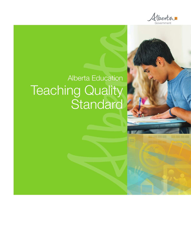

<u> La Bar</u>

## Alberta Education **Teaching Quality Standard**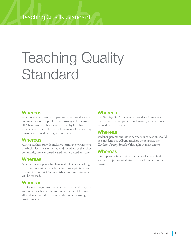# Teaching Quality **Standard**

#### **Whereas**

Alberta's teachers, students, parents, educational leaders, and members of the public have a strong will to ensure all Alberta students have access to quality learning experiences that enable their achievement of the learning outcomes outlined in programs of study.

#### **Whereas**

Alberta teachers provide inclusive learning environments in which diversity is respected and members of the school community are welcomed, cared for, respected and safe.

#### **Whereas**

Alberta teachers play a fundamental role in establishing the conditions under which the learning aspirations and the potential of First Nations, Métis and Inuit students will be realized.

#### **Whereas**

quality teaching occurs best when teachers work together with other teachers in the common interest of helping all students succeed in diverse and complex learning environments.

#### **Whereas**

the *Teaching Quality Standard* provides a framework for the preparation, professional growth, supervision and evaluation of all teachers.

#### **Whereas**

students, parents and other partners in education should be confident that Alberta teachers demonstrate the *Teaching Quality Standard* throughout their careers.

#### **Whereas**

it is important to recognize the value of a consistent standard of professional practice for all teachers in the province.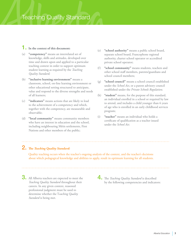#### 1. **In the context of this document:**

- (a) **"competency"** means an interrelated set of knowledge, skills and attitudes, developed over time and drawn upon and applied to a particular teaching context in order to support optimum student learning as required by the *Teaching Quality Standard;*
- (b) **"inclusive learning environment"** means a classroom, school, on-line learning environment or other educational setting structured to anticipate, value and respond to the diverse strengths and needs of all learners;
- (c) **"indicators"** means actions that are likely to lead to the achievement of a competency and which, together with the competency, are measurable and observable;
- (d) **"local community"** means community members who have an interest in education and the school, including neighbouring Métis settlements, First Nations and other members of the public;
- (e) **"school authority"** means a public school board, separate school board, Francophone regional authority, charter school operator or accredited private school operator;
- (f) **"school community"** means students, teachers and other school staff members, parents/guardians and school council members;
- (g) **"school council"** means a school council established under the *School Act*, or a parent advisory council established under the *Private Schools Regulation;*
- (h) **"student"** means, for the purpose of this standard, an individual enrolled in a school or required by law to attend, and includes a child younger than 6 years of age who is enrolled in an early childhood services program;
- (i) **"teacher"** means an individual who holds a certificate of qualification as a teacher issued under the *School Act.*

#### 2. **The** *Teaching Quality Standard:*

 Quality teaching occurs when the teacher's ongoing analysis of the context, and the teacher's decisions about which pedagogical knowledge and abilities to apply, result in optimum learning for all students.

3. All Alberta teachers are expected to meet the *Teaching Quality Standard* throughout their careers. In any given context, reasoned professional judgment must be used to determine whether the T*eaching Quality Standard* is being met.

4. The *Teaching Quality Standard* is described by the following competencies and indicators: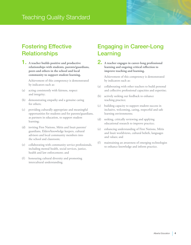## Fostering Effective **Relationships**

1. **A teacher builds positive and productive relationships with students, parents/guardians, peers and others in the school and local community to support student learning.**

 Achievement of this competency is demonstrated by indicators such as:

- (a) acting consistently with fairness, respect and integrity;
- (b) demonstrating empathy and a genuine caring for others;
- (c) providing culturally appropriate and meaningful opportunities for students and for parents/guardians, as partners in education, to support student learning;
- (d) inviting First Nations, Métis and Inuit parents/ guardians, Elders/knowledge keepers, cultural advisors and local community members into the school and classroom;
- (e) collaborating with community service professionals, including mental health, social services, justice, health and law enforcement; and
- (f) honouring cultural diversity and promoting intercultural understanding.

## Engaging in Career-Long Learning

2. **A teacher engages in career-long professional learning and ongoing critical reflection to improve teaching and learning.** 

- (a) collaborating with other teachers to build personal and collective professional capacities and expertise;
- (b) actively seeking out feedback to enhance teaching practice;
- (c) building capacity to support student success in inclusive, welcoming, caring, respectful and safe learning environments;
- (d) seeking, critically reviewing and applying educational research to improve practice;
- (e) enhancing understanding of First Nations, Métis and Inuit worldviews, cultural beliefs, languages and values; and
- (f) maintaining an awareness of emerging technologies to enhance knowledge and inform practice.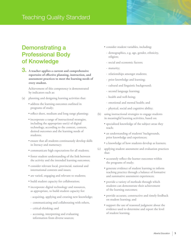## Demonstrating a Professional Body of Knowledge

3. **A teacher applies a current and comprehensive repertoire of effective planning, instruction, and assessment practices to meet the learning needs of every student.** 

- (a) planning and designing learning activities that:
	- address the learning outcomes outlined in programs of study;
	- reflect short, medium and long range planning;
	- incorporate a range of instructional strategies, including the appropriate use(s) of digital technology, according to the context, content, desired outcomes and the learning needs of students;
	- ensure that all students continuously develop skills in literacy and numeracy;
	- communicate high expectations for all students;
	- foster student understanding of the link between the activity and the intended learning outcomes;
	- consider relevant local, provincial, national and international contexts and issues;
	- are varied, engaging and relevant to students;
	- build student capacity for collaboration;
	- incorporate digital technology and resources, as appropriate, to build student capacity for:
	- acquiring, applying and creating new knowledge;
	- communicating and collaborating with others,
	- critical-thinking; and
	- accessing, interpreting and evaluating information from diverse sources;
- consider student variables, including:
	- demographics, e.g. age, gender, ethnicity, religion;
- social and economic factors;
- maturity;
- relationships amongst students;
- prior knowledge and learning;
- cultural and linguistic background;
- second language learning;
- health and well-being;
- emotional and mental health; and
- physical, social and cognitive ability;
- (b) using instructional strategies to engage students in meaningful learning activities, based on:
	- specialized knowledge of the subject areas they teach;
	- an understanding of students' backgrounds, prior knowledge and experiences;
	- a knowledge of how students develop as learners;
- (c) applying student assessment and evaluation practices that:
	- accurately reflect the learner outcomes within the programs of study;
	- generate evidence of student learning to inform teaching practice through a balance of formative and summative assessment experiences;
	- provide a variety of methods through which students can demonstrate their achievement of the learning outcomes;
	- provide accurate, constructive and timely feedback on student learning; and
	- support the use of reasoned judgment about the evidence used to determine and report the level of student learning.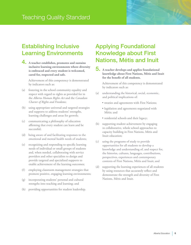## Establishing Inclusive Learning Environments

4. **A teacher establishes, promotes and sustains inclusive learning environments where diversity is embraced and every student is welcomed, cared for, respected and safe.** 

 Achievement of this competency is demonstrated by indicators such as:

- (a) fostering in the school community equality and respect with regard to rights as provided for in the *Alberta Human Rights Act* and the *Canadian Charter of Rights and Freedoms*;
- (b) using appropriate universal and targeted strategies and supports to address students' strengths, learning challenges and areas for growth;
- (c) communicating a philosophy of education affirming that every student can learn and be successful;
- (d) being aware of and facilitating responses to the emotional and mental health needs of students;
- (e) recognizing and responding to specific learning needs of individual or small groups of students and, when needed, collaborating with service providers and other specialists to design and provide targeted and specialized supports to enable achievement of the learning outcomes;
- (f) employing classroom management strategies that promote positive, engaging learning environments;
- (g) incorporating students' personal and cultural strengths into teaching and learning; and
- (h) providing opportunities for student leadership.

## Applying Foundational Knowledge about First Nations, Métis and Inuit

5. **A teacher develops and applies foundational knowledge about First Nations, Métis and Inuit for the benefit of all students.** 

- (a) understanding the historical, social, economic, and political implications of:
	- treaties and agreements with First Nations;
	- legislation and agreements negotiated with Métis; and
	- residential schools and their legacy;
- (b) supporting student achievement by engaging in collaborative, whole school approaches to capacity building in First Nations, Métis and Inuit education;
- (c) using the programs of study to provide opportunities for all students to develop a knowledge and understanding of, and respect for, the histories, cultures, languages, contributions, perspectives, experiences and contemporary contexts of First Nations, Métis and Inuit; and
- (d) supporting the learning experiences of all students by using resources that accurately reflect and demonstrate the strength and diversity of First Nations, Métis and Inuit.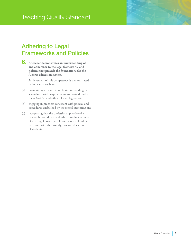## Adhering to Legal Frameworks and Policies

6. **A teacher demonstrates an understanding of and adherence to the legal frameworks and policies that provide the foundations for the Alberta education system.** 

- (a) maintaining an awareness of, and responding in accordance with, requirements authorized under the *School Act* and other relevant legislation;
- (b) engaging in practices consistent with policies and procedures established by the school authority; and
- (c) recognizing that the professional practice of a teacher is bound by standards of conduct expected of a caring, knowledgeable and reasonable adult entrusted with the custody, care or education of students.